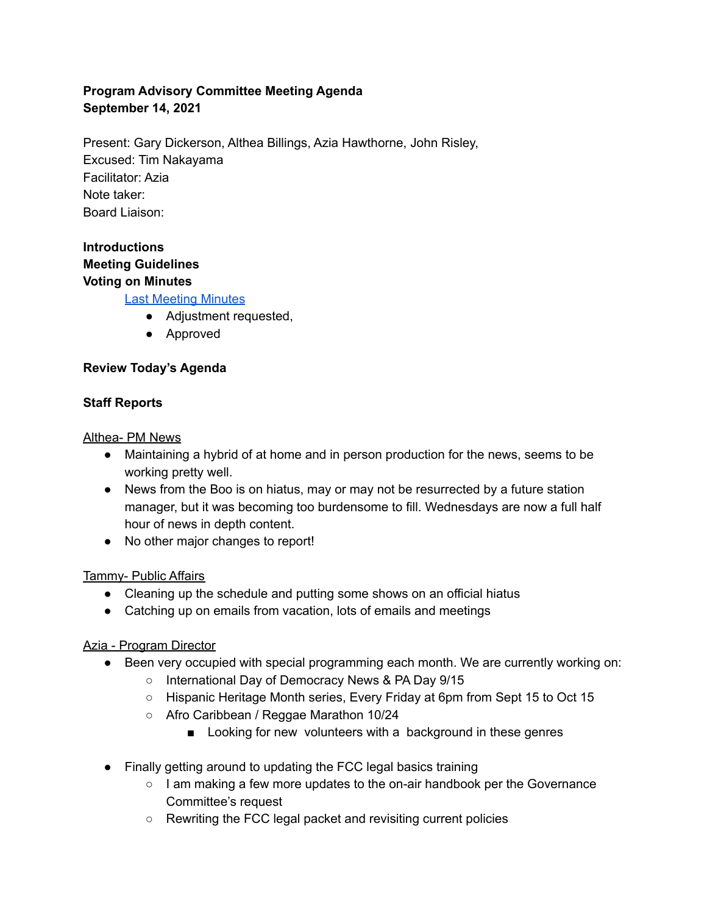## **Program Advisory Committee Meeting Agenda September 14, 2021**

Present: Gary Dickerson, Althea Billings, Azia Hawthorne, John Risley, Excused: Tim Nakayama Facilitator: Azia Note taker: Board Liaison:

## **Introductions Meeting Guidelines Voting on Minutes**

Last [Meeting](https://kboo.fm/2021-programming-advisory-committee-meeting-minutes) Minutes

- Adjustment requested,
- Approved

### **Review Today's Agenda**

### **Staff Reports**

Althea- PM News

- Maintaining a hybrid of at home and in person production for the news, seems to be working pretty well.
- News from the Boo is on hiatus, may or may not be resurrected by a future station manager, but it was becoming too burdensome to fill. Wednesdays are now a full half hour of news in depth content.
- No other major changes to report!

### Tammy- Public Affairs

- Cleaning up the schedule and putting some shows on an official hiatus
- Catching up on emails from vacation, lots of emails and meetings

# Azia - Program Director

- Been very occupied with special programming each month. We are currently working on:
	- o International Day of Democracy News & PA Day 9/15
	- Hispanic Heritage Month series, Every Friday at 6pm from Sept 15 to Oct 15
	- Afro Caribbean / Reggae Marathon 10/24
		- Looking for new volunteers with a background in these genres
- Finally getting around to updating the FCC legal basics training
	- $\circ$  I am making a few more updates to the on-air handbook per the Governance Committee's request
	- Rewriting the FCC legal packet and revisiting current policies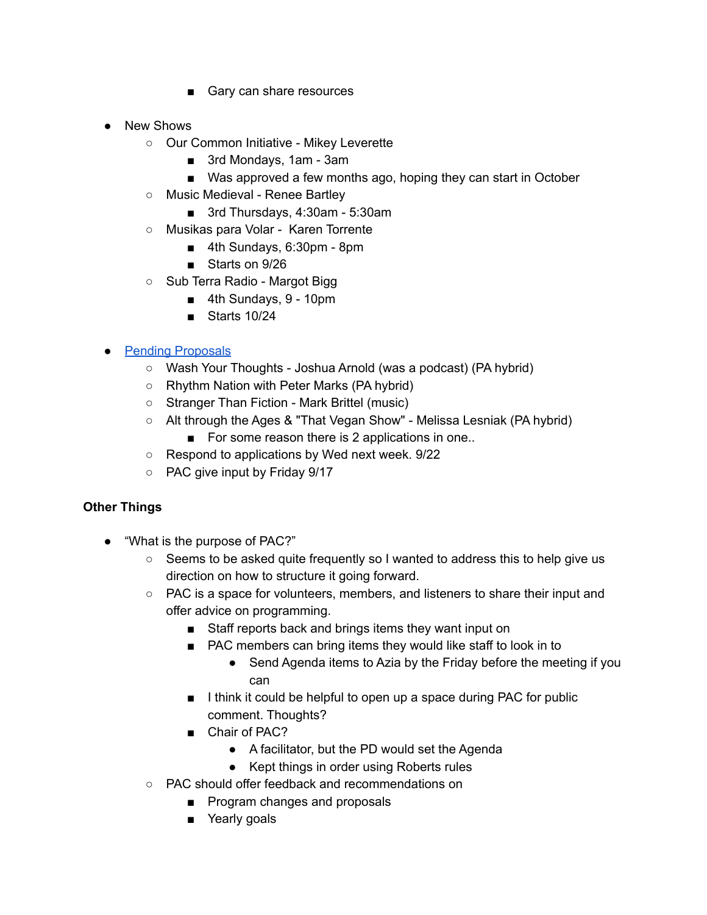- Gary can share resources
- New Shows
	- Our Common Initiative Mikey Leverette
		- 3rd Mondays, 1am 3am
		- Was approved a few months ago, hoping they can start in October
	- Music Medieval Renee Bartley
		- 3rd Thursdays, 4:30am 5:30am
	- Musikas para Volar Karen Torrente
		- 4th Sundays, 6:30pm 8pm
		- Starts on 9/26
	- Sub Terra Radio Margot Bigg
		- 4th Sundays, 9 10pm
		- Starts 10/24

### ● Pending [Proposals](https://docs.google.com/spreadsheets/d/1QU-fWB0Y-N4gTKAcyyq7LrL6nKNfMgF12KjmNMBe2as/edit?resourcekey#gid=1025277637)

- Wash Your Thoughts Joshua Arnold (was a podcast) (PA hybrid)
- Rhythm Nation with Peter Marks (PA hybrid)
- Stranger Than Fiction Mark Brittel (music)
- Alt through the Ages & "That Vegan Show" Melissa Lesniak (PA hybrid)
	- For some reason there is 2 applications in one..
- Respond to applications by Wed next week. 9/22
- PAC give input by Friday 9/17

### **Other Things**

- "What is the purpose of PAC?"
	- Seems to be asked quite frequently so I wanted to address this to help give us direction on how to structure it going forward.
	- PAC is a space for volunteers, members, and listeners to share their input and offer advice on programming.
		- Staff reports back and brings items they want input on
		- PAC members can bring items they would like staff to look in to
			- Send Agenda items to Azia by the Friday before the meeting if you can
		- I think it could be helpful to open up a space during PAC for public comment. Thoughts?
		- Chair of PAC?
			- A facilitator, but the PD would set the Agenda
			- Kept things in order using Roberts rules
	- PAC should offer feedback and recommendations on
		- Program changes and proposals
		- Yearly goals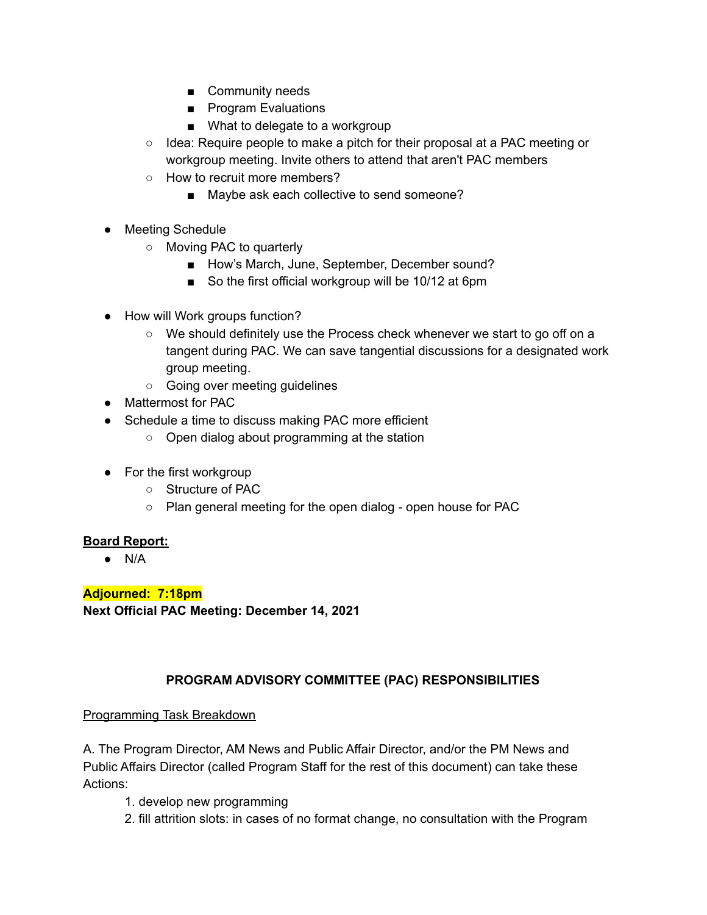- Community needs
- Program Evaluations
- What to delegate to a workgroup
- Idea: Require people to make a pitch for their proposal at a PAC meeting or workgroup meeting. Invite others to attend that aren't PAC members
- How to recruit more members?
	- Maybe ask each collective to send someone?
- Meeting Schedule
	- Moving PAC to quarterly
		- How's March, June, September, December sound?
		- So the first official workgroup will be 10/12 at 6pm
- How will Work groups function?
	- We should definitely use the Process check whenever we start to go off on a tangent during PAC. We can save tangential discussions for a designated work group meeting.
	- Going over meeting guidelines
- Mattermost for PAC
- Schedule a time to discuss making PAC more efficient
	- Open dialog about programming at the station
- For the first workgroup
	- Structure of PAC
	- Plan general meeting for the open dialog open house for PAC

### **Board Report:**

 $\bullet$  N/A

**Adjourned: 7:18pm Next Official PAC Meeting: December 14, 2021**

### **PROGRAM ADVISORY COMMITTEE (PAC) RESPONSIBILITIES**

### Programming Task Breakdown

A. The Program Director, AM News and Public Affair Director, and/or the PM News and Public Affairs Director (called Program Staff for the rest of this document) can take these Actions:

- 1. develop new programming
- 2. fill attrition slots: in cases of no format change, no consultation with the Program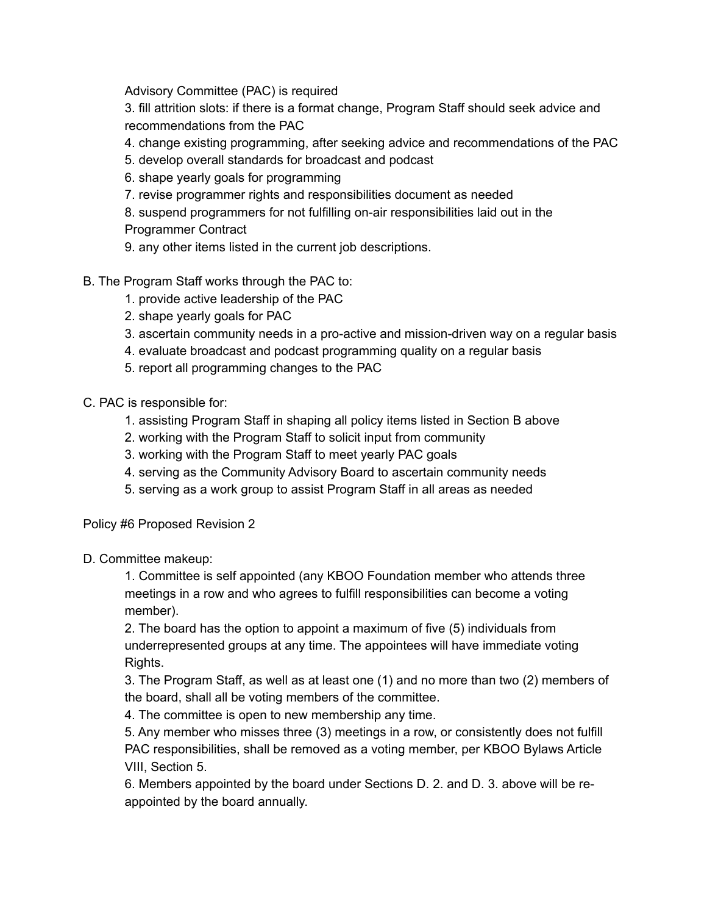Advisory Committee (PAC) is required

3. fill attrition slots: if there is a format change, Program Staff should seek advice and recommendations from the PAC

4. change existing programming, after seeking advice and recommendations of the PAC

- 5. develop overall standards for broadcast and podcast
- 6. shape yearly goals for programming
- 7. revise programmer rights and responsibilities document as needed
- 8. suspend programmers for not fulfilling on-air responsibilities laid out in the
- Programmer Contract
- 9. any other items listed in the current job descriptions.
- B. The Program Staff works through the PAC to:
	- 1. provide active leadership of the PAC
	- 2. shape yearly goals for PAC
	- 3. ascertain community needs in a pro-active and mission-driven way on a regular basis
	- 4. evaluate broadcast and podcast programming quality on a regular basis
	- 5. report all programming changes to the PAC

C. PAC is responsible for:

- 1. assisting Program Staff in shaping all policy items listed in Section B above
- 2. working with the Program Staff to solicit input from community
- 3. working with the Program Staff to meet yearly PAC goals
- 4. serving as the Community Advisory Board to ascertain community needs
- 5. serving as a work group to assist Program Staff in all areas as needed

Policy #6 Proposed Revision 2

D. Committee makeup:

1. Committee is self appointed (any KBOO Foundation member who attends three meetings in a row and who agrees to fulfill responsibilities can become a voting member).

2. The board has the option to appoint a maximum of five (5) individuals from underrepresented groups at any time. The appointees will have immediate voting Rights.

3. The Program Staff, as well as at least one (1) and no more than two (2) members of the board, shall all be voting members of the committee.

4. The committee is open to new membership any time.

5. Any member who misses three (3) meetings in a row, or consistently does not fulfill PAC responsibilities, shall be removed as a voting member, per KBOO Bylaws Article VIII, Section 5.

6. Members appointed by the board under Sections D. 2. and D. 3. above will be reappointed by the board annually.